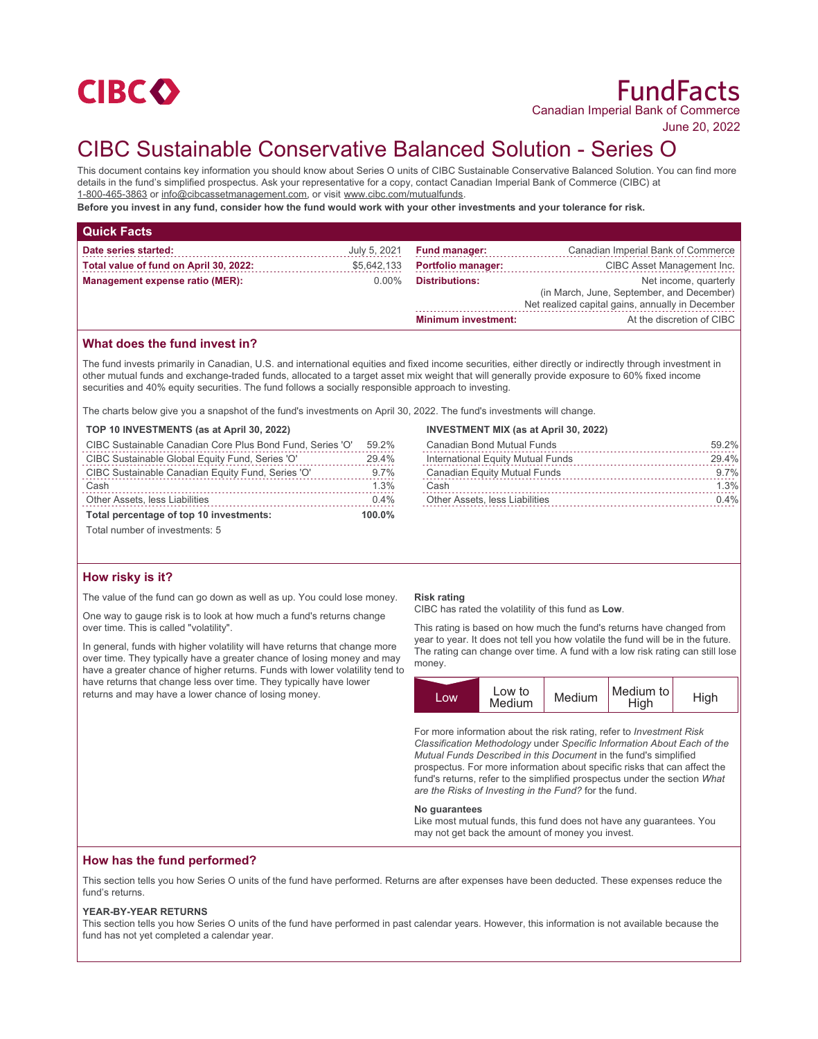

June 20, 2022

# CIBC Sustainable Conservative Balanced Solution - Series O

This document contains key information you should know about Series O units of CIBC Sustainable Conservative Balanced Solution. You can find more details in the fund's simplified prospectus. Ask your representative for a copy, contact Canadian Imperial Bank of Commerce (CIBC) at 1-800-465-3863 or info@cibcassetmanagement.com, or visit www.cibc.com/mutualfunds.

**Before you invest in any fund, consider how the fund would work with your other investments and your tolerance for risk.**

| <b>Quick Facts</b>                     |              |                            |                                                                                                                        |
|----------------------------------------|--------------|----------------------------|------------------------------------------------------------------------------------------------------------------------|
| Date series started:                   | July 5, 2021 | <b>Fund manager:</b>       | Canadian Imperial Bank of Commerce                                                                                     |
| Total value of fund on April 30, 2022: | \$5,642,133  | <b>Portfolio manager:</b>  | CIBC Asset Management Inc.                                                                                             |
| Management expense ratio (MER):        | $0.00\%$     | <b>Distributions:</b>      | Net income, quarterly<br>(in March, June, September, and December)<br>Net realized capital gains, annually in December |
|                                        |              | <b>Minimum investment:</b> | At the discretion of CIBC                                                                                              |

# **What does the fund invest in?**

The fund invests primarily in Canadian, U.S. and international equities and fixed income securities, either directly or indirectly through investment in other mutual funds and exchange-traded funds, allocated to a target asset mix weight that will generally provide exposure to 60% fixed income securities and 40% equity securities. The fund follows a socially responsible approach to investing.

The charts below give you a snapshot of the fund's investments on April 30, 2022. The fund's investments will change.

#### **TOP 10 INVESTMENTS (as at April 30, 2022)**

| CIBC Sustainable Canadian Core Plus Bond Fund, Series 'O' | 59.2%   |
|-----------------------------------------------------------|---------|
| CIBC Sustainable Global Equity Fund, Series 'O'           | 29.4%   |
| CIBC Sustainable Canadian Equity Fund, Series 'O'         | $9.7\%$ |
| Cash                                                      | 1.3%    |
| Other Assets, less Liabilities                            | $0.4\%$ |
| Total percentage of top 10 investments:                   | 100.0%  |

Total number of investments: 5

# **How risky is it?**

The value of the fund can go down as well as up. You could lose money.

One way to gauge risk is to look at how much a fund's returns change over time. This is called "volatility".

In general, funds with higher volatility will have returns that change more over time. They typically have a greater chance of losing money and may have a greater chance of higher returns. Funds with lower volatility tend to have returns that change less over time. They typically have lower returns and may have a lower chance of losing money.

#### **INVESTMENT MIX (as at April 30, 2022)**

| <b>Canadian Bond Mutual Funds</b>     | 59.2%   |
|---------------------------------------|---------|
| International Equity Mutual Funds     | 29.4%   |
| <b>Canadian Equity Mutual Funds</b>   | $9.7\%$ |
| Cash                                  | 1.3%    |
| <b>Other Assets, less Liabilities</b> | $0.4\%$ |

#### **Risk rating**

CIBC has rated the volatility of this fund as **Low**.

This rating is based on how much the fund's returns have changed from year to year. It does not tell you how volatile the fund will be in the future. The rating can change over time. A fund with a low risk rating can still lose money.

| Low | Low to<br>Medium | Medium | Medium to<br>High | High |
|-----|------------------|--------|-------------------|------|

For more information about the risk rating, refer to *Investment Risk Classification Methodology* under *Specific Information About Each of the Mutual Funds Described in this Document* in the fund's simplified prospectus. For more information about specific risks that can affect the fund's returns, refer to the simplified prospectus under the section *What are the Risks of Investing in the Fund?* for the fund.

#### **No guarantees**

Like most mutual funds, this fund does not have any guarantees. You may not get back the amount of money you invest.

## **How has the fund performed?**

This section tells you how Series O units of the fund have performed. Returns are after expenses have been deducted. These expenses reduce the fund's returns.

#### **YEAR-BY-YEAR RETURNS**

This section tells you how Series O units of the fund have performed in past calendar years. However, this information is not available because the fund has not yet completed a calendar year.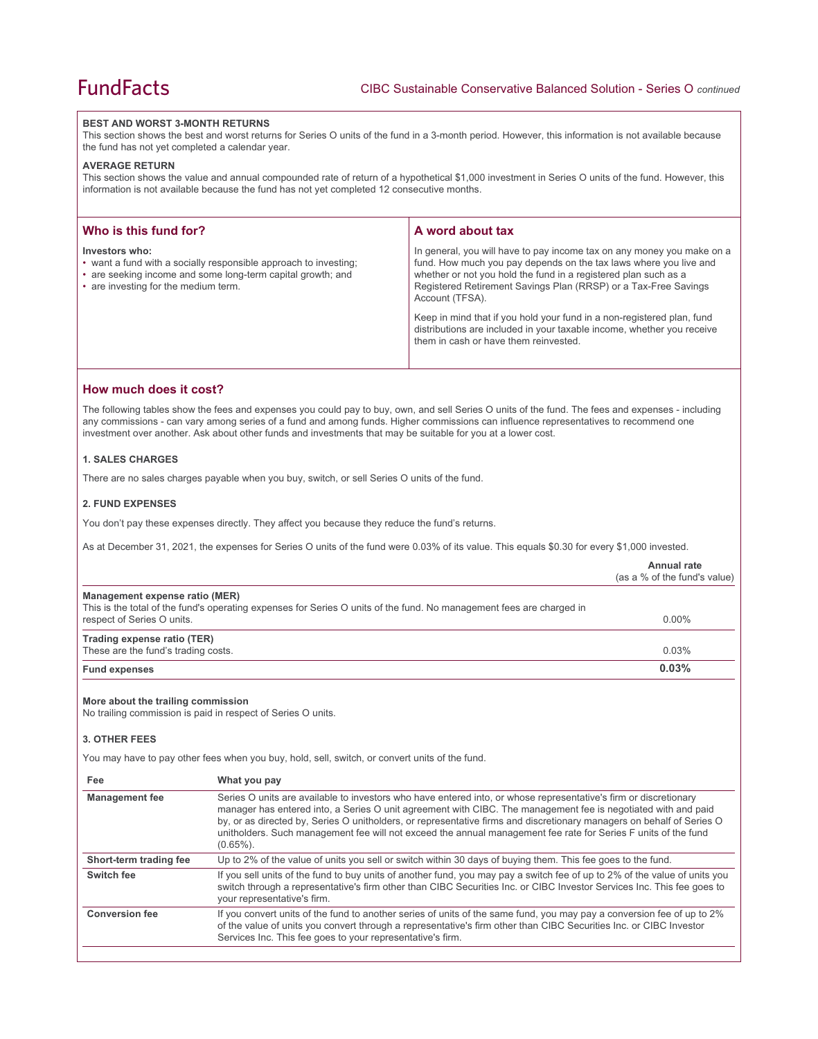## **BEST AND WORST 3-MONTH RETURNS**

This section shows the best and worst returns for Series O units of the fund in a 3-month period. However, this information is not available because the fund has not yet completed a calendar year.

## **AVERAGE RETURN**

This section shows the value and annual compounded rate of return of a hypothetical \$1,000 investment in Series O units of the fund. However, this information is not available because the fund has not yet completed 12 consecutive months.

| Who is this fund for?                                                                                                                                                                     | A word about tax                                                                                                                                                                                                                                                                                     |
|-------------------------------------------------------------------------------------------------------------------------------------------------------------------------------------------|------------------------------------------------------------------------------------------------------------------------------------------------------------------------------------------------------------------------------------------------------------------------------------------------------|
| Investors who:<br>• want a fund with a socially responsible approach to investing;<br>• are seeking income and some long-term capital growth; and<br>• are investing for the medium term. | In general, you will have to pay income tax on any money you make on a<br>fund. How much you pay depends on the tax laws where you live and<br>whether or not you hold the fund in a registered plan such as a<br>Registered Retirement Savings Plan (RRSP) or a Tax-Free Savings<br>Account (TFSA). |
|                                                                                                                                                                                           | Keep in mind that if you hold your fund in a non-registered plan, fund<br>distributions are included in your taxable income, whether you receive<br>them in cash or have them reinvested.                                                                                                            |

# **How much does it cost?**

The following tables show the fees and expenses you could pay to buy, own, and sell Series O units of the fund. The fees and expenses - including any commissions - can vary among series of a fund and among funds. Higher commissions can influence representatives to recommend one investment over another. Ask about other funds and investments that may be suitable for you at a lower cost.

# **1. SALES CHARGES**

There are no sales charges payable when you buy, switch, or sell Series O units of the fund.

## **2. FUND EXPENSES**

You don't pay these expenses directly. They affect you because they reduce the fund's returns.

your representative's firm.

As at December 31, 2021, the expenses for Series O units of the fund were 0.03% of its value. This equals \$0.30 for every \$1,000 invested.

|                                                                           |                                                                                                                                                                                                                                                                                                                                                                                                                                                                                              | Annual rate<br>(as a % of the fund's value) |
|---------------------------------------------------------------------------|----------------------------------------------------------------------------------------------------------------------------------------------------------------------------------------------------------------------------------------------------------------------------------------------------------------------------------------------------------------------------------------------------------------------------------------------------------------------------------------------|---------------------------------------------|
| Management expense ratio (MER)<br>respect of Series O units.              | This is the total of the fund's operating expenses for Series O units of the fund. No management fees are charged in                                                                                                                                                                                                                                                                                                                                                                         | $0.00\%$                                    |
| <b>Trading expense ratio (TER)</b><br>These are the fund's trading costs. |                                                                                                                                                                                                                                                                                                                                                                                                                                                                                              | 0.03%                                       |
| <b>Fund expenses</b>                                                      |                                                                                                                                                                                                                                                                                                                                                                                                                                                                                              | 0.03%                                       |
| More about the trailing commission<br><b>3. OTHER FEES</b>                | No trailing commission is paid in respect of Series O units.<br>You may have to pay other fees when you buy, hold, sell, switch, or convert units of the fund.                                                                                                                                                                                                                                                                                                                               |                                             |
| Fee                                                                       | What you pay                                                                                                                                                                                                                                                                                                                                                                                                                                                                                 |                                             |
| <b>Management fee</b>                                                     | Series O units are available to investors who have entered into, or whose representative's firm or discretionary<br>manager has entered into, a Series O unit agreement with CIBC. The management fee is negotiated with and paid<br>by, or as directed by, Series O unitholders, or representative firms and discretionary managers on behalf of Series O<br>unitholders. Such management fee will not exceed the annual management fee rate for Series F units of the fund<br>$(0.65\%)$ . |                                             |
| Short-term trading fee                                                    | Up to 2% of the value of units you sell or switch within 30 days of buying them. This fee goes to the fund.                                                                                                                                                                                                                                                                                                                                                                                  |                                             |
| Switch fee                                                                | If you sell units of the fund to buy units of another fund, you may pay a switch fee of up to 2% of the value of units you<br>switch through a representative's firm other than CIBC Securities Inc. or CIBC Investor Services Inc. This fee goes to                                                                                                                                                                                                                                         |                                             |

**Conversion fee** If you convert units of the fund to another series of units of the same fund, you may pay a conversion fee of up to 2%

Services Inc. This fee goes to your representative's firm.

of the value of units you convert through a representative's firm other than CIBC Securities Inc. or CIBC Investor